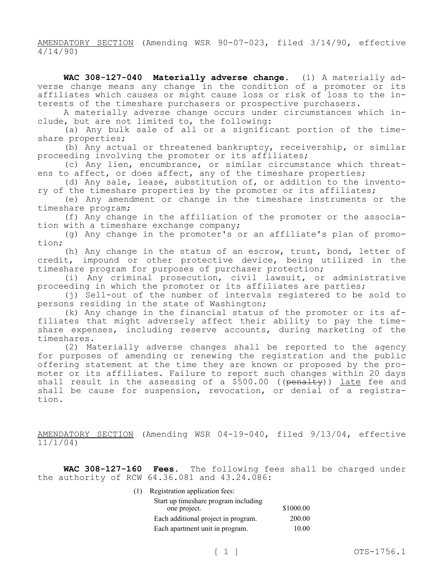AMENDATORY SECTION (Amending WSR 90-07-023, filed 3/14/90, effective 4/14/90)

**WAC 308-127-040 Materially adverse change.** (1) A materially adverse change means any change in the condition of a promoter or its affiliates which causes or might cause loss or risk of loss to the interests of the timeshare purchasers or prospective purchasers.

A materially adverse change occurs under circumstances which include, but are not limited to, the following:

(a) Any bulk sale of all or a significant portion of the timeshare properties;

(b) Any actual or threatened bankruptcy, receivership, or similar proceeding involving the promoter or its affiliates;

(c) Any lien, encumbrance, or similar circumstance which threatens to affect, or does affect, any of the timeshare properties;

(d) Any sale, lease, substitution of, or addition to the inventory of the timeshare properties by the promoter or its affiliates;

(e) Any amendment or change in the timeshare instruments or the timeshare program;

(f) Any change in the affiliation of the promoter or the association with a timeshare exchange company;

(g) Any change in the promoter's or an affiliate's plan of promotion;

(h) Any change in the status of an escrow, trust, bond, letter of credit, impound or other protective device, being utilized in the timeshare program for purposes of purchaser protection;

(i) Any criminal prosecution, civil lawsuit, or administrative proceeding in which the promoter or its affiliates are parties;

(j) Sell-out of the number of intervals registered to be sold to persons residing in the state of Washington;

(k) Any change in the financial status of the promoter or its affiliates that might adversely affect their ability to pay the timeshare expenses, including reserve accounts, during marketing of the timeshares.

(2) Materially adverse changes shall be reported to the agency for purposes of amending or renewing the registration and the public offering statement at the time they are known or proposed by the promoter or its affiliates. Failure to report such changes within 20 days shall result in the assessing of a  $$500.00$  ((penalty)) late fee and shall be cause for suspension, revocation, or denial of a registration.

AMENDATORY SECTION (Amending WSR 04-19-040, filed 9/13/04, effective 11/1/04)

**WAC 308-127-160 Fees.** The following fees shall be charged under the authority of RCW 64.36.081 and 43.24.086:

> (1) Registration application fees: Start up timeshare program including one project. \$1000.00 Each additional project in program. 200.00

| Each additional project in program. | ZUU.UU |
|-------------------------------------|--------|
| Each apartment unit in program.     | 10.00  |
|                                     |        |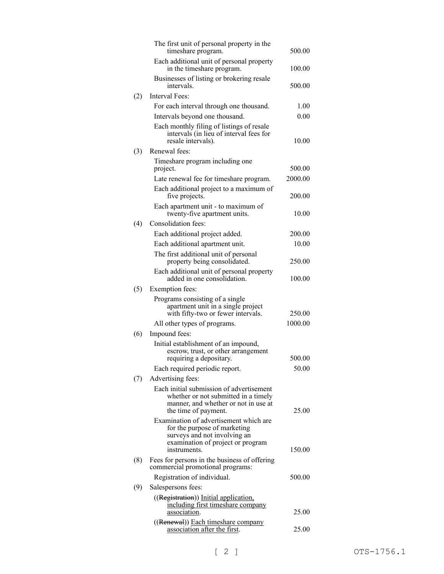|     | The first unit of personal property in the<br>timeshare program.                                                                                            | 500.00  |
|-----|-------------------------------------------------------------------------------------------------------------------------------------------------------------|---------|
|     | Each additional unit of personal property<br>in the timeshare program.                                                                                      | 100.00  |
|     | Businesses of listing or brokering resale<br>intervals.                                                                                                     | 500.00  |
| (2) | Interval Fees:                                                                                                                                              |         |
|     | For each interval through one thousand.                                                                                                                     | 1.00    |
|     | Intervals beyond one thousand.                                                                                                                              | 0.00    |
|     | Each monthly filing of listings of resale<br>intervals (in lieu of interval fees for<br>resale intervals).                                                  | 10.00   |
| (3) | Renewal fees:                                                                                                                                               |         |
|     | Timeshare program including one<br>project.                                                                                                                 | 500.00  |
|     | Late renewal fee for timeshare program.                                                                                                                     | 2000.00 |
|     | Each additional project to a maximum of<br>five projects.                                                                                                   | 200.00  |
|     | Each apartment unit - to maximum of<br>twenty-five apartment units.                                                                                         | 10.00   |
| (4) | Consolidation fees:                                                                                                                                         |         |
|     | Each additional project added.                                                                                                                              | 200.00  |
|     | Each additional apartment unit.                                                                                                                             | 10.00   |
|     | The first additional unit of personal<br>property being consolidated.                                                                                       | 250.00  |
|     | Each additional unit of personal property<br>added in one consolidation.                                                                                    | 100.00  |
| (5) | Exemption fees:                                                                                                                                             |         |
|     | Programs consisting of a single<br>apartment unit in a single project<br>with fifty-two or fewer intervals.                                                 | 250.00  |
|     | All other types of programs.                                                                                                                                | 1000.00 |
| (6) | Impound fees:                                                                                                                                               |         |
|     | Initial establishment of an impound,<br>escrow, trust, or other arrangement<br>requiring a depositary.                                                      | 500.00  |
|     | Each required periodic report.                                                                                                                              | 50.00   |
| (7) | Advertising fees:                                                                                                                                           |         |
|     | Each initial submission of advertisement<br>whether or not submitted in a timely<br>manner, and whether or not in use at<br>the time of payment.            | 25.00   |
|     | Examination of advertisement which are<br>for the purpose of marketing<br>surveys and not involving an<br>examination of project or program<br>instruments. | 150.00  |
| (8) | Fees for persons in the business of offering<br>commercial promotional programs:                                                                            |         |
|     | Registration of individual.                                                                                                                                 | 500.00  |
| (9) | Salespersons fees:                                                                                                                                          |         |
|     | ((Registration)) Initial application,<br>including first timeshare company<br>association.                                                                  | 25.00   |
|     | ((Renewal)) Each timeshare company                                                                                                                          |         |
|     | association after the first.                                                                                                                                | 25.00   |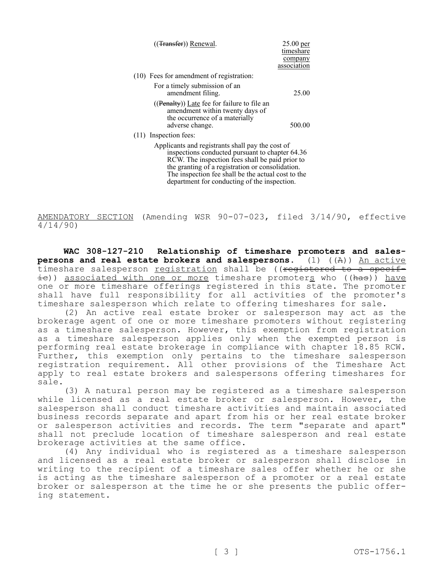| ((Transfer)) Renewal.                                                                                                                                                                                                                                                                                            | $25.00$ per |
|------------------------------------------------------------------------------------------------------------------------------------------------------------------------------------------------------------------------------------------------------------------------------------------------------------------|-------------|
|                                                                                                                                                                                                                                                                                                                  | timeshare   |
|                                                                                                                                                                                                                                                                                                                  | company     |
|                                                                                                                                                                                                                                                                                                                  | association |
| (10) Fees for amendment of registration:                                                                                                                                                                                                                                                                         |             |
| For a timely submission of an<br>amendment filing.                                                                                                                                                                                                                                                               | 25.00       |
| $((Penalty))$ Late fee for failure to file an<br>amendment within twenty days of<br>the occurrence of a materially<br>adverse change.                                                                                                                                                                            | 500.00      |
| $(11)$ Inspection fees:                                                                                                                                                                                                                                                                                          |             |
| Applicants and registrants shall pay the cost of<br>inspections conducted pursuant to chapter 64.36<br>RCW. The inspection fees shall be paid prior to<br>the granting of a registration or consolidation.<br>The inspection fee shall be the actual cost to the<br>department for conducting of the inspection. |             |

AMENDATORY SECTION (Amending WSR 90-07-023, filed 3/14/90, effective  $\frac{1}{4/1}$ 4/90)

**WAC 308-127-210 Relationship of timeshare promoters and salespersons and real estate brokers and salespersons.** (1) ((A)) An active timeshare salesperson registration shall be ((registered to a specif- $\pm$ e)) associated with one or more timeshare promoters who (( $\theta$ as)) have one or more timeshare offerings registered in this state. The promoter shall have full responsibility for all activities of the promoter's timeshare salesperson which relate to offering timeshares for sale.

(2) An active real estate broker or salesperson may act as the brokerage agent of one or more timeshare promoters without registering as a timeshare salesperson. However, this exemption from registration as a timeshare salesperson applies only when the exempted person is performing real estate brokerage in compliance with chapter 18.85 RCW. Further, this exemption only pertains to the timeshare salesperson registration requirement. All other provisions of the Timeshare Act apply to real estate brokers and salespersons offering timeshares for sale.

(3) A natural person may be registered as a timeshare salesperson while licensed as a real estate broker or salesperson. However, the salesperson shall conduct timeshare activities and maintain associated business records separate and apart from his or her real estate broker or salesperson activities and records. The term "separate and apart" shall not preclude location of timeshare salesperson and real estate brokerage activities at the same office.

(4) Any individual who is registered as a timeshare salesperson and licensed as a real estate broker or salesperson shall disclose in writing to the recipient of a timeshare sales offer whether he or she is acting as the timeshare salesperson of a promoter or a real estate broker or salesperson at the time he or she presents the public offering statement.